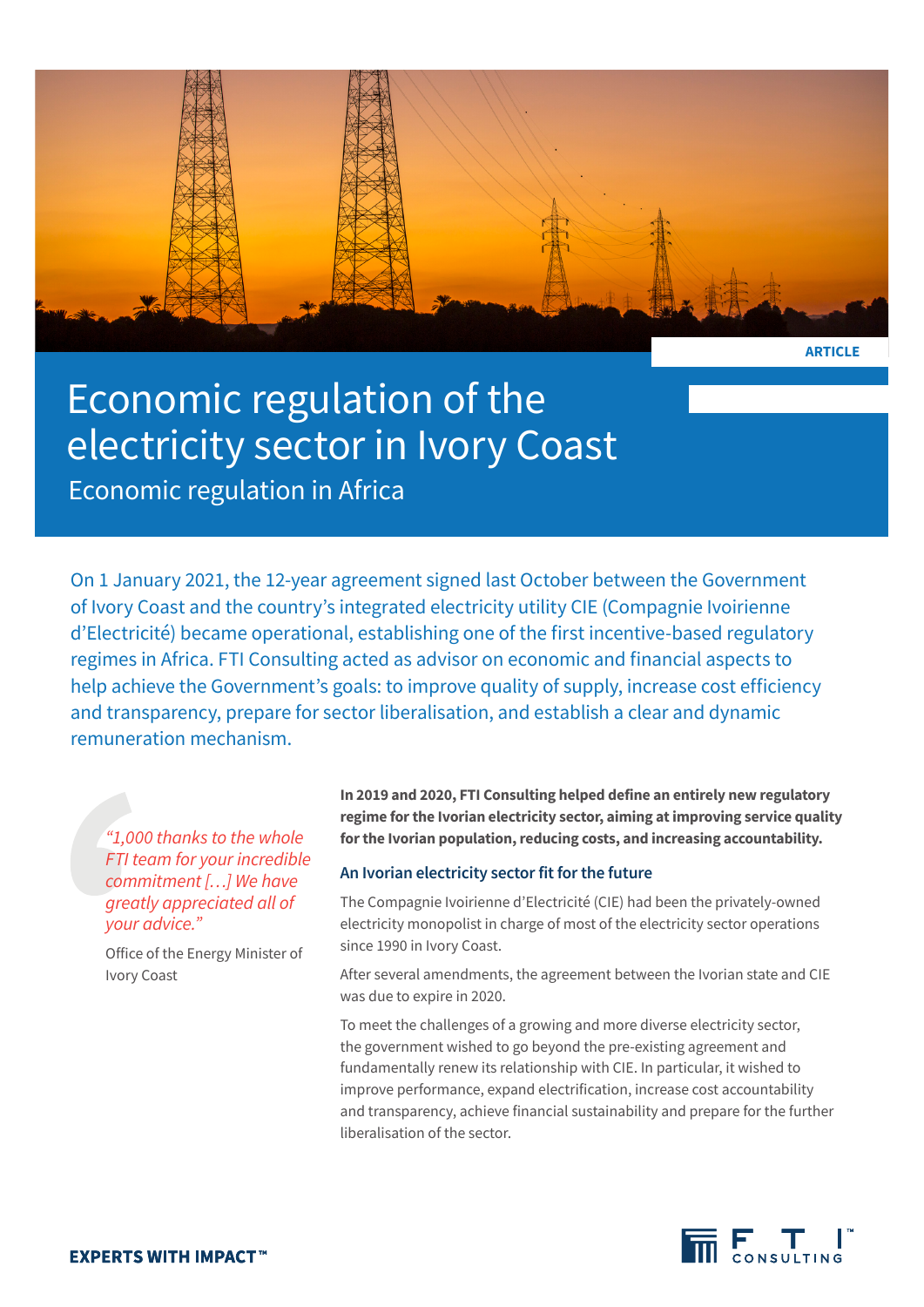

**ARTICLE**

# Economic regulation of the electricity sector in Ivory Coast

Economic regulation in Africa

On 1 January 2021, the 12-year agreement signed last October between the Government of Ivory Coast and the country's integrated electricity utility CIE (Compagnie Ivoirienne d'Electricité) became operational, establishing one of the first incentive-based regulatory regimes in Africa. FTI Consulting acted as advisor on economic and financial aspects to help achieve the Government's goals: to improve quality of supply, increase cost efficiency and transparency, prepare for sector liberalisation, and establish a clear and dynamic remuneration mechanism.

*"1,000 thanks to the whole FTI team for your incredible commitment […] We have greatly appreciated all of your advice."*

Office of the Energy Minister of Ivory Coast

**In 2019 and 2020, FTI Consulting helped define an entirely new regulatory regime for the Ivorian electricity sector, aiming at improving service quality for the Ivorian population, reducing costs, and increasing accountability.**

# **An Ivorian electricity sector fit for the future**

The Compagnie Ivoirienne d'Electricité (CIE) had been the privately-owned electricity monopolist in charge of most of the electricity sector operations since 1990 in Ivory Coast.

After several amendments, the agreement between the Ivorian state and CIE was due to expire in 2020.

To meet the challenges of a growing and more diverse electricity sector, the government wished to go beyond the pre-existing agreement and fundamentally renew its relationship with CIE. In particular, it wished to improve performance, expand electrification, increase cost accountability and transparency, achieve financial sustainability and prepare for the further liberalisation of the sector.

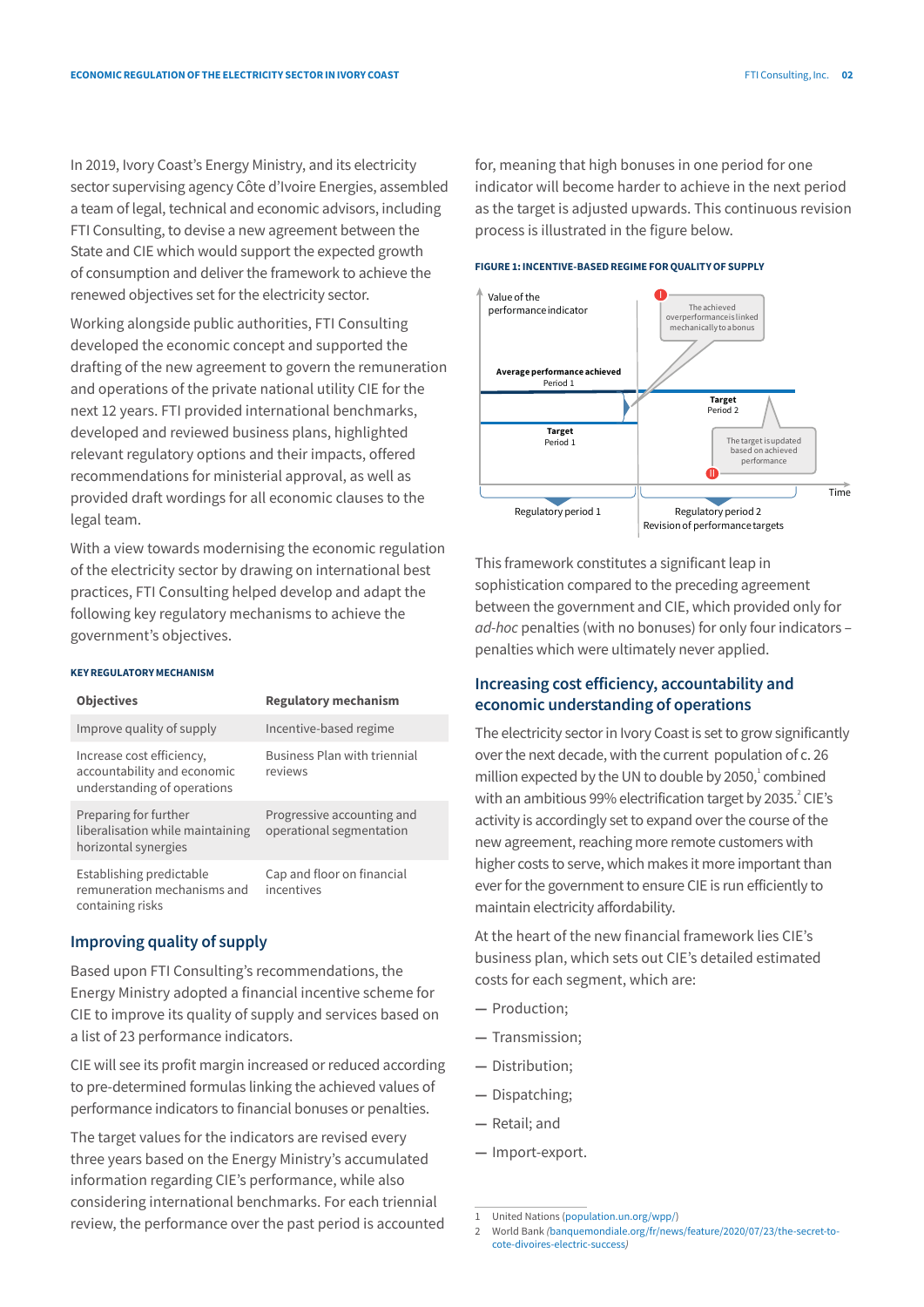In 2019, Ivory Coast's Energy Ministry, and its electricity sector supervising agency Côte d'Ivoire Energies, assembled a team of legal, technical and economic advisors, including FTI Consulting, to devise a new agreement between the State and CIE which would support the expected growth of consumption and deliver the framework to achieve the renewed objectives set for the electricity sector.

Working alongside public authorities, FTI Consulting developed the economic concept and supported the drafting of the new agreement to govern the remuneration and operations of the private national utility CIE for the next 12 years. FTI provided international benchmarks, developed and reviewed business plans, highlighted relevant regulatory options and their impacts, offered recommendations for ministerial approval, as well as provided draft wordings for all economic clauses to the legal team.

With a view towards modernising the economic regulation of the electricity sector by drawing on international best practices, FTI Consulting helped develop and adapt the following key regulatory mechanisms to achieve the government's objectives.

#### **KEY REGULATORYMECHANISM**

| <b>Objectives</b>                                                                       | <b>Regulatory mechanism</b>                            |
|-----------------------------------------------------------------------------------------|--------------------------------------------------------|
| Improve quality of supply                                                               | Incentive-based regime                                 |
| Increase cost efficiency,<br>accountability and economic<br>understanding of operations | Business Plan with triennial<br>reviews                |
| Preparing for further<br>liberalisation while maintaining<br>horizontal synergies       | Progressive accounting and<br>operational segmentation |
| Establishing predictable<br>remuneration mechanisms and<br>containing risks             | Cap and floor on financial<br>incentives               |

# **Improving quality of supply**

Based upon FTI Consulting's recommendations, the Energy Ministry adopted a financial incentive scheme for CIE to improve its quality of supply and services based on a list of 23 performance indicators.

CIE will see its profit margin increased or reduced according to pre-determined formulas linking the achieved values of performance indicators to financial bonuses or penalties.

The target values for the indicators are revised every three years based on the Energy Ministry's accumulated information regarding CIE's performance, while also considering international benchmarks. For each triennial review, the performance over the past period is accounted

for, meaning that high bonuses in one period for one indicator will become harder to achieve in the next period as the target is adjusted upwards. This continuous revision process is illustrated in the figure below.

#### **FIGURE 1: INCENTIVE-BASED REGIME FOR QUALITYOF SUPPLY**



This framework constitutes a significant leap in sophistication compared to the preceding agreement between the government and CIE, which provided only for *ad-hoc* penalties (with no bonuses) for only four indicators – penalties which were ultimately never applied.

# **Increasing cost efficiency, accountability and economic understanding of operations**

The electricity sector in Ivory Coast is set to grow significantly over the next decade, with the current population of c. 26 million expected by the UN to double by  $2050<sub>i</sub><sup>1</sup>$  combined with an ambitious 99% electrification target by 2035.<sup>2</sup> CIE's activity is accordingly set to expand over the course of the new agreement, reaching more remote customers with higher costs to serve, which makes it more important than ever for the government to ensure CIE is run efficiently to maintain electricity affordability.

At the heart of the new financial framework lies CIE's business plan, which sets out CIE's detailed estimated costs for each segment, which are:

- **—** Production;
- **—** Transmission;
- **—** Distribution;
- **—** Dispatching;
- **—** Retail; and
- **—** Import-export.

<sup>1</sup> United Nations (population.un.org/wpp/)

<sup>2</sup> World Bank *(*banquemondiale.org/fr/news/feature/2020/07/23/the-secret-tocote-divoires-electric-success*)*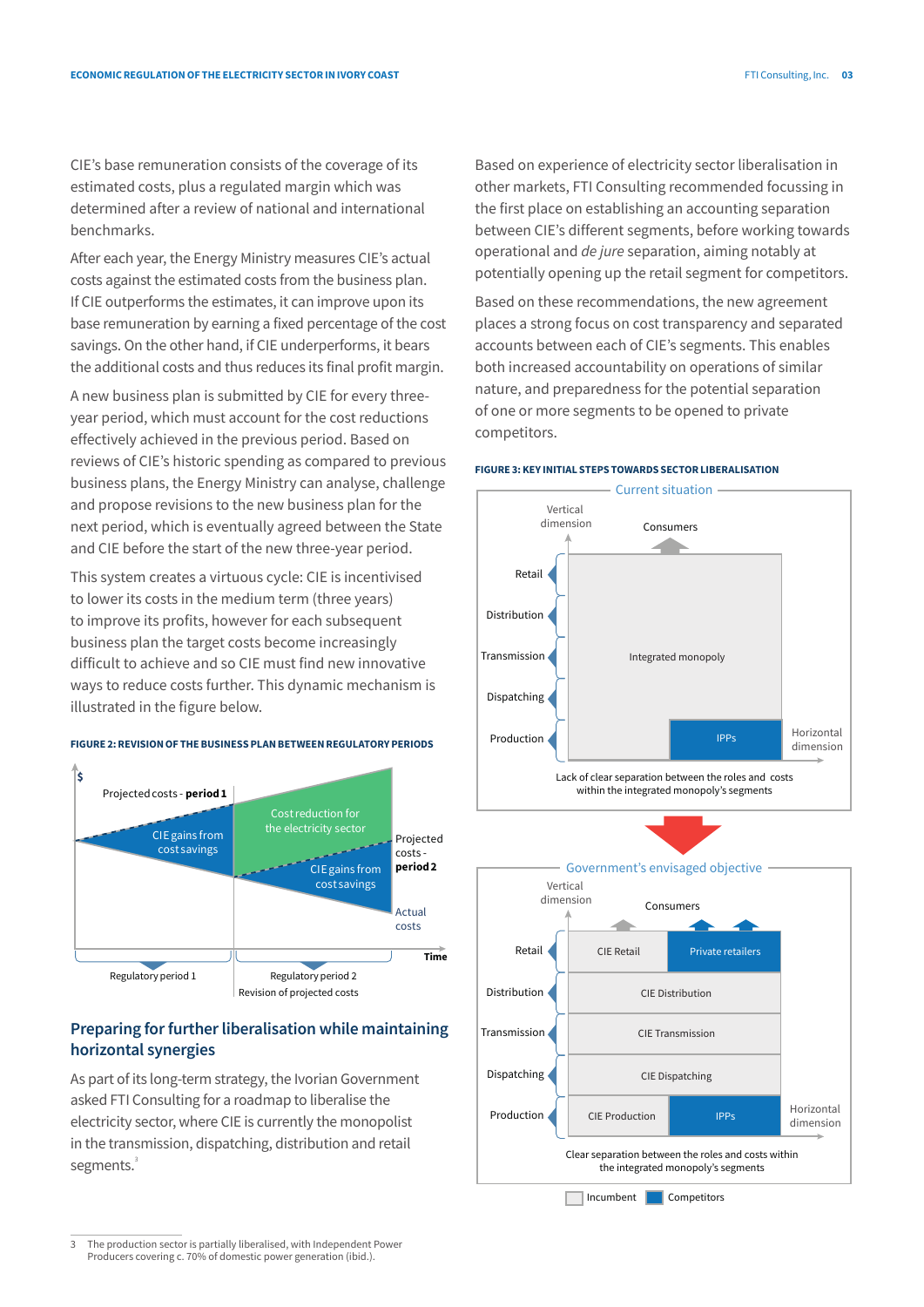CIE's base remuneration consists of the coverage of its estimated costs, plus a regulated margin which was determined after a review of national and international benchmarks.

After each year, the Energy Ministry measures CIE's actual costs against the estimated costs from the business plan. If CIE outperforms the estimates, it can improve upon its base remuneration by earning a fixed percentage of the cost savings. On the other hand, if CIE underperforms, it bears the additional costs and thus reduces its final profit margin.

A new business plan is submitted by CIE for every threeyear period, which must account for the cost reductions effectively achieved in the previous period. Based on reviews of CIE's historic spending as compared to previous business plans, the Energy Ministry can analyse, challenge and propose revisions to the new business plan for the next period, which is eventually agreed between the State and CIE before the start of the new three-year period.

This system creates a virtuous cycle: CIE is incentivised to lower its costs in the medium term (three years) to improve its profits, however for each subsequent business plan the target costs become increasingly difficult to achieve and so CIE must find new innovative ways to reduce costs further. This dynamic mechanism is illustrated in the figure below.

#### **FIGURE 2: REVISIONOF THE BUSINESS PLAN BETWEEN REGULATORY PERIODS**



# **Preparing for further liberalisation while maintaining horizontal synergies**

As part of its long-term strategy, the Ivorian Government asked FTI Consulting for a roadmap to liberalise the electricity sector, where CIE is currently the monopolist in the transmission, dispatching, distribution and retail segments.<sup>3</sup>

Based on experience of electricity sector liberalisation in other markets, FTI Consulting recommended focussing in the first place on establishing an accounting separation between CIE's different segments, before working towards operational and *de jure* separation, aiming notably at potentially opening up the retail segment for competitors.

Based on these recommendations, the new agreement places a strong focus on cost transparency and separated accounts between each of CIE's segments. This enables both increased accountability on operations of similar nature, and preparedness for the potential separation of one or more segments to be opened to private competitors.

#### **FIGURE 3: KEY INITIAL STEPS TOWARDS SECTOR LIBERALISATION**





3 The production sector is partially liberalised, with Independent Power Producers covering c. 70% of domestic power generation (ibid.).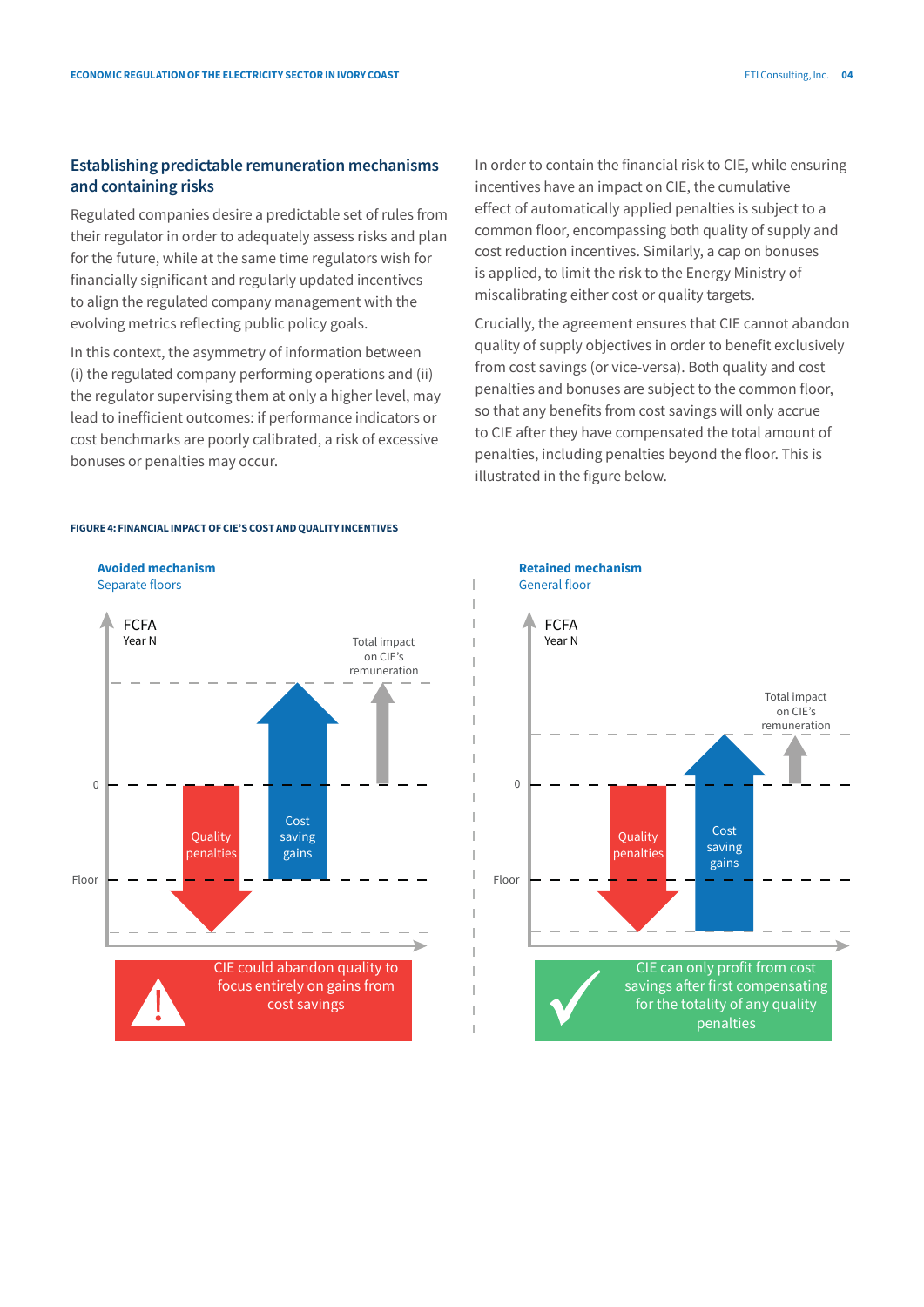# **Establishing predictable remuneration mechanisms and containing risks**

Regulated companies desire a predictable set of rules from their regulator in order to adequately assess risks and plan for the future, while at the same time regulators wish for financially significant and regularly updated incentives to align the regulated company management with the evolving metrics reflecting public policy goals.

In this context, the asymmetry of information between (i) the regulated company performing operations and (ii) the regulator supervising them at only a higher level, may lead to inefficient outcomes: if performance indicators or cost benchmarks are poorly calibrated, a risk of excessive bonuses or penalties may occur.

In order to contain the financial risk to CIE, while ensuring incentives have an impact on CIE, the cumulative effect of automatically applied penalties is subject to a common floor, encompassing both quality of supply and cost reduction incentives. Similarly, a cap on bonuses is applied, to limit the risk to the Energy Ministry of miscalibrating either cost or quality targets.

Crucially, the agreement ensures that CIE cannot abandon quality of supply objectives in order to benefit exclusively from cost savings (or vice-versa). Both quality and cost penalties and bonuses are subject to the common floor, so that any benefits from cost savings will only accrue to CIE after they have compensated the total amount of penalties, including penalties beyond the floor. This is illustrated in the figure below.





#### **FIGURE 4: FINANCIAL IMPACT OF CIE'S COST AND QUALITY INCENTIVES**